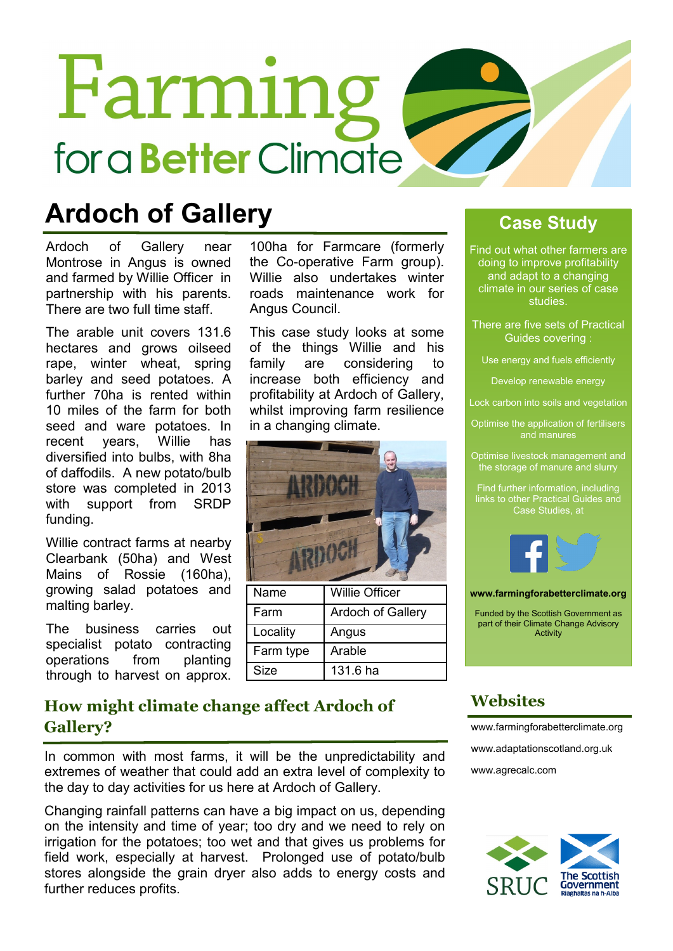# Farming for a **Better** Climate

### **Ardoch of Gallery**

Ardoch of Gallery near Montrose in Angus is owned and farmed by Willie Officer in partnership with his parents. There are two full time staff.

The arable unit covers 131.6 hectares and grows oilseed rape, winter wheat, spring barley and seed potatoes. A further 70ha is rented within 10 miles of the farm for both seed and ware potatoes. In recent years, Willie has diversified into bulbs, with 8ha of daffodils. A new potato/bulb store was completed in 2013 with support from SRDP funding.

Willie contract farms at nearby Clearbank (50ha) and West Mains of Rossie (160ha), growing salad potatoes and malting barley.

The business carries out specialist potato contracting operations from planting through to harvest on approx.

the Co-operative Farm group). Willie also undertakes winter roads maintenance work for Angus Council.

100ha for Farmcare (formerly

This case study looks at some of the things Willie and his family are considering to increase both efficiency and profitability at Ardoch of Gallery, whilst improving farm resilience in a changing climate.



#### **Case Study**

Find out what other farmers are doing to improve profitability and adapt to a changing climate in our series of case studies.

There are five sets of Practical Guides covering :

Use energy and fuels efficiently

Develop renewable energy

Lock carbon into soils and vegetation

Optimise the application of fertilisers and manures

Optimise livestock management and the storage of manure and slurry

Find further information, including links to other Practical Guides and Case Studies, at



**www.farmingforabetterclimate.org**

Funded by the Scottish Government as part of their Climate Change Advisory **Activity** 

#### **How might climate change affect Ardoch of Gallery?**

In common with most farms, it will be the unpredictability and extremes of weather that could add an extra level of complexity to the day to day activities for us here at Ardoch of Gallery.

Changing rainfall patterns can have a big impact on us, depending on the intensity and time of year; too dry and we need to rely on irrigation for the potatoes; too wet and that gives us problems for field work, especially at harvest. Prolonged use of potato/bulb stores alongside the grain dryer also adds to energy costs and further reduces profits.

#### **Websites**

[www.farmingforabetterclimate.org](http://www.farmingforabetterclimate.org) [www.adaptationscotland.org.uk](http://www.adaptationscotland.org.uk/1/1/0/Home.aspx) [www.agrecalc.com](http://www.agrecalc.com)